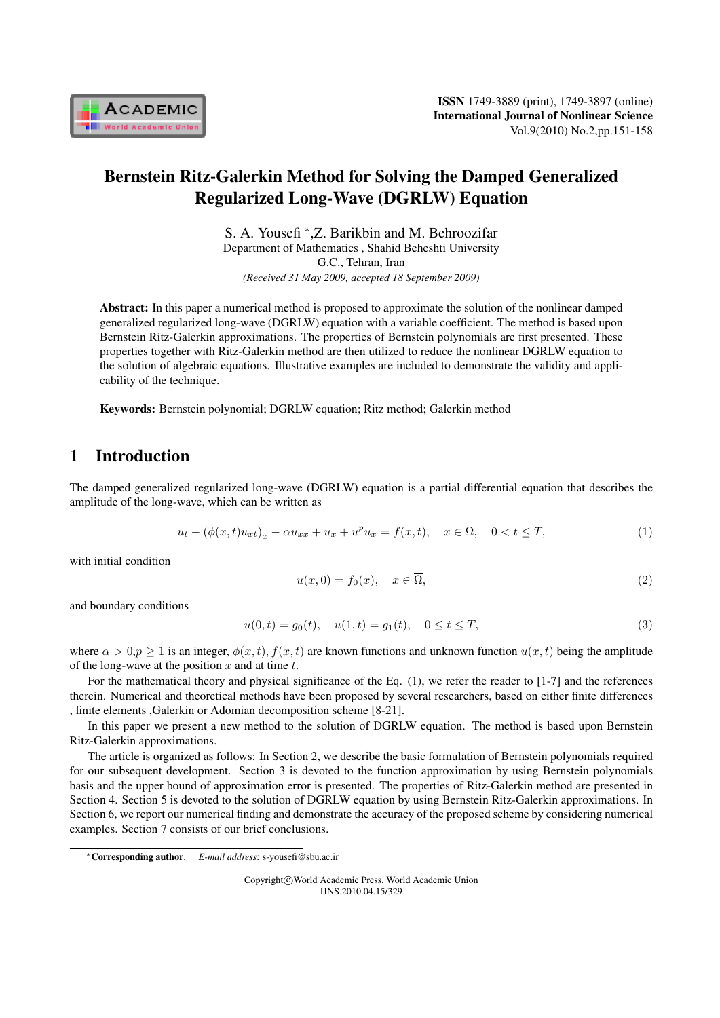

# Bernstein Ritz-Galerkin Method for Solving the Damped Generalized Regularized Long-Wave (DGRLW) Equation

S. A. Yousefi *<sup>∗</sup>* ,Z. Barikbin and M. Behroozifar Department of Mathematics , Shahid Beheshti University G.C., Tehran, Iran *(Received 31 May 2009, accepted 18 September 2009)*

Abstract: In this paper a numerical method is proposed to approximate the solution of the nonlinear damped generalized regularized long-wave (DGRLW) equation with a variable coefficient. The method is based upon Bernstein Ritz-Galerkin approximations. The properties of Bernstein polynomials are first presented. These properties together with Ritz-Galerkin method are then utilized to reduce the nonlinear DGRLW equation to the solution of algebraic equations. Illustrative examples are included to demonstrate the validity and applicability of the technique.

Keywords: Bernstein polynomial; DGRLW equation; Ritz method; Galerkin method

# 1 Introduction

The damped generalized regularized long-wave (DGRLW) equation is a partial differential equation that describes the amplitude of the long-wave, which can be written as

$$
u_t - (\phi(x, t)u_{xt})_x - \alpha u_{xx} + u_x + u^p u_x = f(x, t), \quad x \in \Omega, \quad 0 < t \le T,
$$
\n(1)

with initial condition

$$
u(x,0) = f_0(x), \quad x \in \overline{\Omega},\tag{2}
$$

and boundary conditions

$$
u(0,t) = g_0(t), \quad u(1,t) = g_1(t), \quad 0 \le t \le T,
$$
\n(3)

where  $\alpha > 0, p \ge 1$  is an integer,  $\phi(x, t)$ ,  $f(x, t)$  are known functions and unknown function  $u(x, t)$  being the amplitude of the long-wave at the position  $x$  and at time  $t$ .

For the mathematical theory and physical significance of the Eq. (1), we refer the reader to [1-7] and the references therein. Numerical and theoretical methods have been proposed by several researchers, based on either finite differences , finite elements ,Galerkin or Adomian decomposition scheme [8-21].

In this paper we present a new method to the solution of DGRLW equation. The method is based upon Bernstein Ritz-Galerkin approximations.

The article is organized as follows: In Section 2, we describe the basic formulation of Bernstein polynomials required for our subsequent development. Section 3 is devoted to the function approximation by using Bernstein polynomials basis and the upper bound of approximation error is presented. The properties of Ritz-Galerkin method are presented in Section 4. Section 5 is devoted to the solution of DGRLW equation by using Bernstein Ritz-Galerkin approximations. In Section 6, we report our numerical finding and demonstrate the accuracy of the proposed scheme by considering numerical examples. Section 7 consists of our brief conclusions.

Copyright*⃝*c World Academic Press, World Academic Union IJNS.2010.04.15/329

*<sup>∗</sup>*Corresponding author. *E-mail address*: s-yousefi@sbu.ac.ir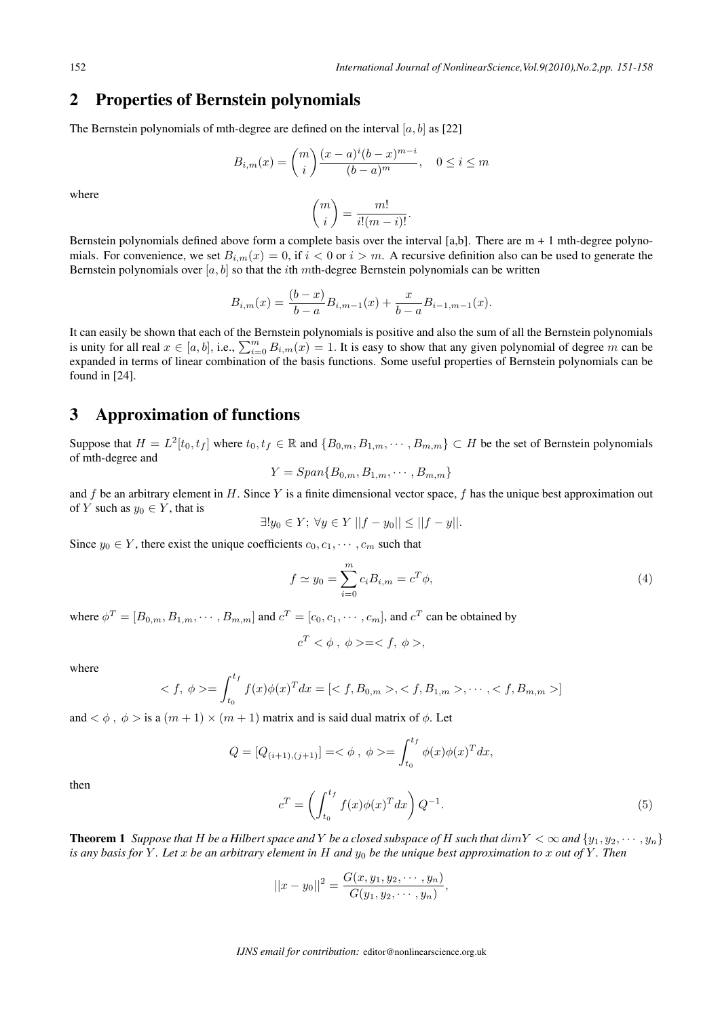## 2 Properties of Bernstein polynomials

The Bernstein polynomials of mth-degree are defined on the interval  $[a, b]$  as [22]

$$
B_{i,m}(x) = {m \choose i} \frac{(x-a)^i (b-x)^{m-i}}{(b-a)^m}, \quad 0 \le i \le m
$$

where

$$
\binom{m}{i} = \frac{m!}{i!(m-i)!}.
$$

Bernstein polynomials defined above form a complete basis over the interval [a,b]. There are  $m + 1$  mth-degree polynomials. For convenience, we set  $B_{i,m}(x) = 0$ , if  $i < 0$  or  $i > m$ . A recursive definition also can be used to generate the Bernstein polynomials over  $[a, b]$  so that the *i*th *m*th-degree Bernstein polynomials can be written

$$
B_{i,m}(x) = \frac{(b-x)}{b-a} B_{i,m-1}(x) + \frac{x}{b-a} B_{i-1,m-1}(x).
$$

It can easily be shown that each of the Bernstein polynomials is positive and also the sum of all the Bernstein polynomials is unity for all real  $x \in [a, b]$ , i.e.,  $\sum_{i=0}^{m} B_{i,m}(x) = 1$ . It is easy to show that any given polynomial of degree m can be expanded in terms of linear combination of the basis functions. Some useful properties of Bernstein polynomials can be found in [24].

#### 3 Approximation of functions

Suppose that  $H = L^2[t_0, t_f]$  where  $t_0, t_f \in \mathbb{R}$  and  $\{B_{0,m}, B_{1,m}, \cdots, B_{m,m}\} \subset H$  be the set of Bernstein polynomials of mth-degree and

$$
Y = Span{B_{0,m}, B_{1,m}, \cdots, B_{m,m}}
$$

and f be an arbitrary element in H. Since Y is a finite dimensional vector space, f has the unique best approximation out of  $Y$  such as  $y_0 \in Y$ , that is

$$
\exists! y_0 \in Y; \ \forall y \in Y \ ||f - y_0|| \le ||f - y||.
$$

Since  $y_0 \in Y$ , there exist the unique coefficients  $c_0, c_1, \dots, c_m$  such that

$$
f \simeq y_0 = \sum_{i=0}^{m} c_i B_{i,m} = c^T \phi,
$$
\n(4)

where  $\phi^T = [B_{0,m}, B_{1,m}, \cdots, B_{m,m}]$  and  $c^T = [c_0, c_1, \cdots, c_m]$ , and  $c^T$  can be obtained by

$$
c^T < \phi \, , \, \phi > =  ,
$$

where

$$
\langle f, \phi \rangle = \int_{t_0}^{t_f} f(x) \phi(x)^T dx = [\langle f, B_{0,m} \rangle, \langle f, B_{1,m} \rangle, \cdots, \langle f, B_{m,m} \rangle]
$$

and  $\langle \phi, \phi \rangle$  is a  $(m+1) \times (m+1)$  matrix and is said dual matrix of  $\phi$ . Let

$$
Q = [Q_{(i+1),(j+1)}] = \langle \phi, \phi \rangle = \int_{t_0}^{t_f} \phi(x)\phi(x)^T dx,
$$

$$
c^T = \left(\int_{t_0}^{t_f} f(x)\phi(x)^T dx\right) Q^{-1}.
$$
 (5)

then

**Theorem 1** *Suppose that*  $H$  *be a Hilbert space and*  $Y$  *be a closed subspace of*  $H$  *such that*  $dimY < \infty$  *and*  $\{y_1, y_2, \dots, y_n\}$ *is any basis for*  $Y$ *. Let*  $x$  *be an arbitrary element in*  $H$  *and*  $y_0$  *be the unique best approximation to*  $x$  *out of*  $Y$ *. Then* 

$$
||x - y_0||^2 = \frac{G(x, y_1, y_2, \dots, y_n)}{G(y_1, y_2, \dots, y_n)},
$$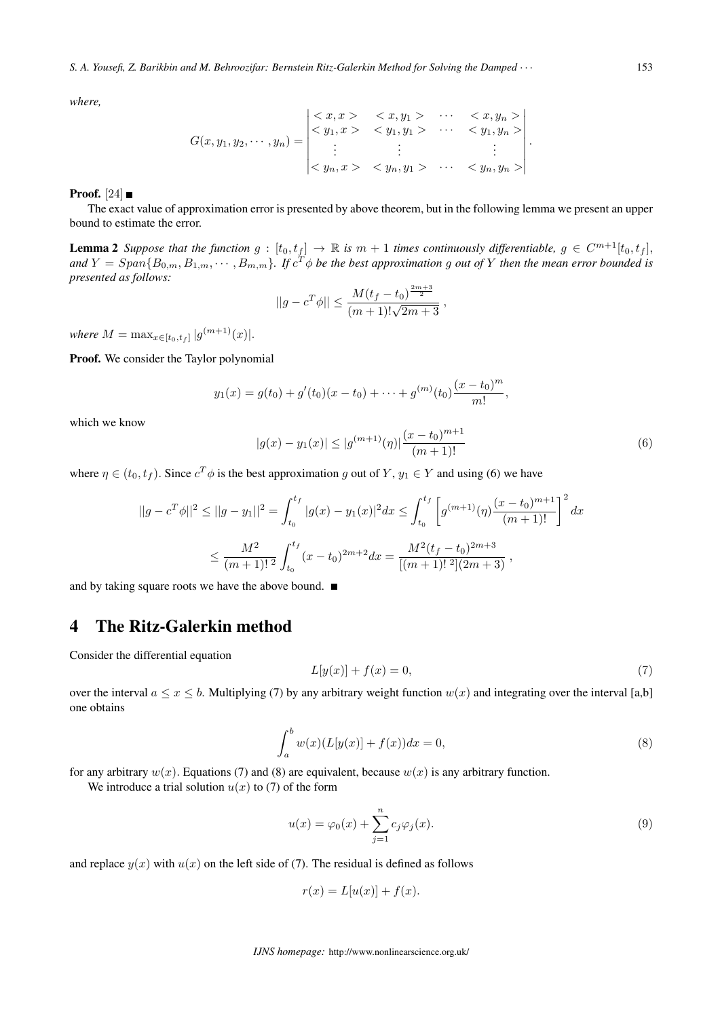*where,*

$$
G(x, y_1, y_2, \cdots, y_n) = \begin{vmatrix} < x, x > < x, y_1 > & \cdots < x, y_n > \\ < y_1, x > < y_1, y_1 > & \cdots < y_1, y_n > \\ & \vdots & & \vdots & & \vdots \\ < y_n, x > < y_n, y_1 > & \cdots < y_n, y_n > \end{vmatrix}.
$$

**Proof.** [24]  $\blacksquare$ 

The exact value of approximation error is presented by above theorem, but in the following lemma we present an upper bound to estimate the error.

**Lemma 2** Suppose that the function  $g : [t_0, t_f] \to \mathbb{R}$  is  $m + 1$  times continuously differentiable,  $g \in C^{m+1}[t_0, t_f]$ ,  $a$ nd  $Y = Span\{B_{0,m}, B_{1,m}, \cdots, B_{m,m}\}$ . If  $c^T\phi$  be the best approximation  $g$  out of  $Y$  then the mean error bounded is *presented as follows:*

$$
||g - c^T \phi|| \le \frac{M(t_f - t_0)^{\frac{2m+3}{2}}}{(m+1)!\sqrt{2m+3}},
$$

 $where M = \max_{x \in [t_0, t_f]} |g^{(m+1)}(x)|.$ 

Proof. We consider the Taylor polynomial

$$
y_1(x) = g(t_0) + g'(t_0)(x - t_0) + \dots + g^{(m)}(t_0) \frac{(x - t_0)^m}{m!},
$$

which we know

$$
|g(x) - y_1(x)| \le |g^{(m+1)}(\eta)| \frac{(x - t_0)^{m+1}}{(m+1)!}
$$
\n(6)

where  $\eta \in (t_0, t_f)$ . Since  $c^T \phi$  is the best approximation g out of  $Y, y_1 \in Y$  and using (6) we have

$$
||g - c^T \phi||^2 \le ||g - y_1||^2 = \int_{t_0}^{t_f} |g(x) - y_1(x)|^2 dx \le \int_{t_0}^{t_f} \left[ g^{(m+1)}(\eta) \frac{(x - t_0)^{m+1}}{(m+1)!} \right]^2 dx
$$
  

$$
\le \frac{M^2}{(m+1)!^2} \int_{t_0}^{t_f} (x - t_0)^{2m+2} dx = \frac{M^2(t_f - t_0)^{2m+3}}{[(m+1)!^2](2m+3)},
$$

and by taking square roots we have the above bound.  $\blacksquare$ 

#### 4 The Ritz-Galerkin method

Consider the differential equation

$$
L[y(x)] + f(x) = 0,
$$
\n(7)

over the interval  $a \le x \le b$ . Multiplying (7) by any arbitrary weight function  $w(x)$  and integrating over the interval [a,b] one obtains

$$
\int_{a}^{b} w(x)(L[y(x)] + f(x))dx = 0,
$$
\n(8)

for any arbitrary  $w(x)$ . Equations (7) and (8) are equivalent, because  $w(x)$  is any arbitrary function.

We introduce a trial solution  $u(x)$  to (7) of the form

$$
u(x) = \varphi_0(x) + \sum_{j=1}^n c_j \varphi_j(x). \tag{9}
$$

and replace  $y(x)$  with  $u(x)$  on the left side of (7). The residual is defined as follows

$$
r(x) = L[u(x)] + f(x).
$$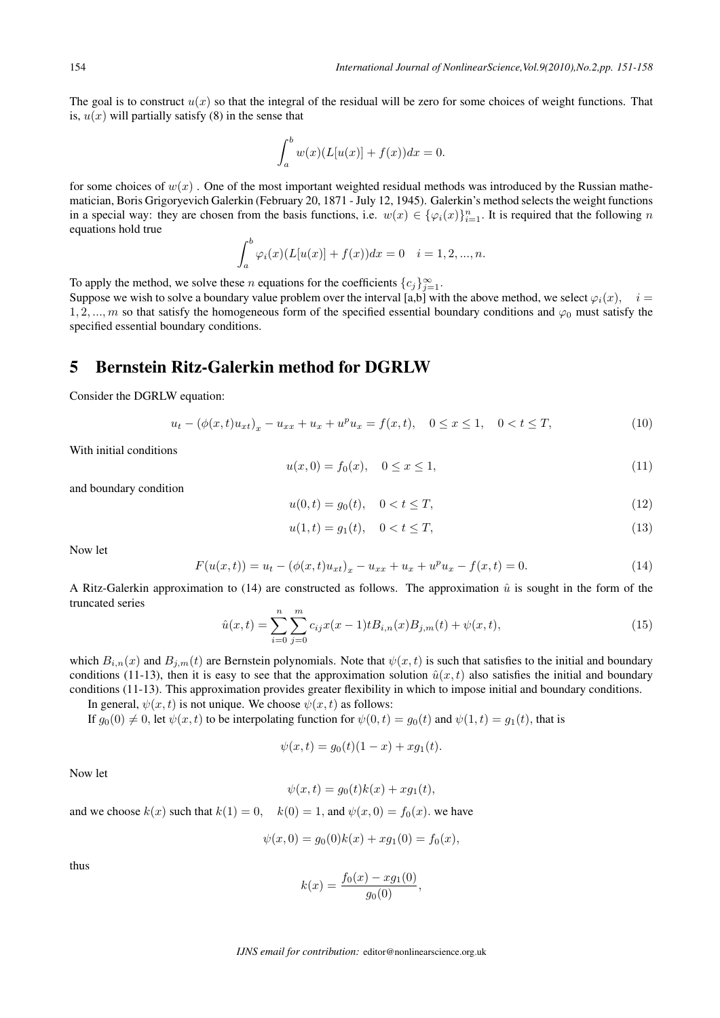The goal is to construct  $u(x)$  so that the integral of the residual will be zero for some choices of weight functions. That is,  $u(x)$  will partially satisfy (8) in the sense that

$$
\int_a^b w(x)(L[u(x)] + f(x))dx = 0.
$$

for some choices of  $w(x)$ . One of the most important weighted residual methods was introduced by the Russian mathematician, Boris Grigoryevich Galerkin (February 20, 1871 - July 12, 1945). Galerkin's method selects the weight functions in a special way: they are chosen from the basis functions, i.e.  $w(x) \in {\varphi_i(x)}_{i=1}^n$ . It is required that the following n equations hold true

$$
\int_{a}^{b} \varphi_{i}(x)(L[u(x)] + f(x))dx = 0 \quad i = 1, 2, ..., n.
$$

To apply the method, we solve these *n* equations for the coefficients  ${c_j}_{j=1}^{\infty}$ .

Suppose we wish to solve a boundary value problem over the interval [a,b] with the above method, we select  $\varphi_i(x)$ ,  $i =$ 1, 2, ..., m so that satisfy the homogeneous form of the specified essential boundary conditions and  $\varphi_0$  must satisfy the specified essential boundary conditions.

## 5 Bernstein Ritz-Galerkin method for DGRLW

Consider the DGRLW equation:

$$
u_t - (\phi(x, t)u_{xt})_x - u_{xx} + u_x + u^p u_x = f(x, t), \quad 0 \le x \le 1, \quad 0 < t \le T,
$$
\n(10)

With initial conditions

$$
u(x,0) = f_0(x), \quad 0 \le x \le 1,\tag{11}
$$

and boundary condition

$$
u(0,t) = g_0(t), \quad 0 < t \le T,\tag{12}
$$

$$
u(1,t) = g_1(t), \quad 0 < t \le T,\tag{13}
$$

Now let

$$
F(u(x,t)) = u_t - (\phi(x,t)u_{xt})_x - u_{xx} + u_x + u^p u_x - f(x,t) = 0.
$$
\n(14)

A Ritz-Galerkin approximation to (14) are constructed as follows. The approximation  $\hat{u}$  is sought in the form of the truncated series

$$
\hat{u}(x,t) = \sum_{i=0}^{n} \sum_{j=0}^{m} c_{ij} x(x-1) t B_{i,n}(x) B_{j,m}(t) + \psi(x,t),
$$
\n(15)

which  $B_{i,n}(x)$  and  $B_{j,m}(t)$  are Bernstein polynomials. Note that  $\psi(x, t)$  is such that satisfies to the initial and boundary conditions (11-13), then it is easy to see that the approximation solution  $\hat{u}(x, t)$  also satisfies the initial and boundary conditions (11-13). This approximation provides greater flexibility in which to impose initial and boundary conditions.

In general,  $\psi(x, t)$  is not unique. We choose  $\psi(x, t)$  as follows:

If  $g_0(0) \neq 0$ , let  $\psi(x, t)$  to be interpolating function for  $\psi(0, t) = g_0(t)$  and  $\psi(1, t) = g_1(t)$ , that is

$$
\psi(x,t) = g_0(t)(1-x) + xg_1(t).
$$

Now let

$$
\psi(x,t) = g_0(t)k(x) + xg_1(t),
$$

and we choose  $k(x)$  such that  $k(1) = 0$ ,  $k(0) = 1$ , and  $\psi(x, 0) = f_0(x)$ *.* we have

$$
\psi(x,0) = g_0(0)k(x) + xg_1(0) = f_0(x),
$$

thus

$$
k(x) = \frac{f_0(x) - xg_1(0)}{g_0(0)},
$$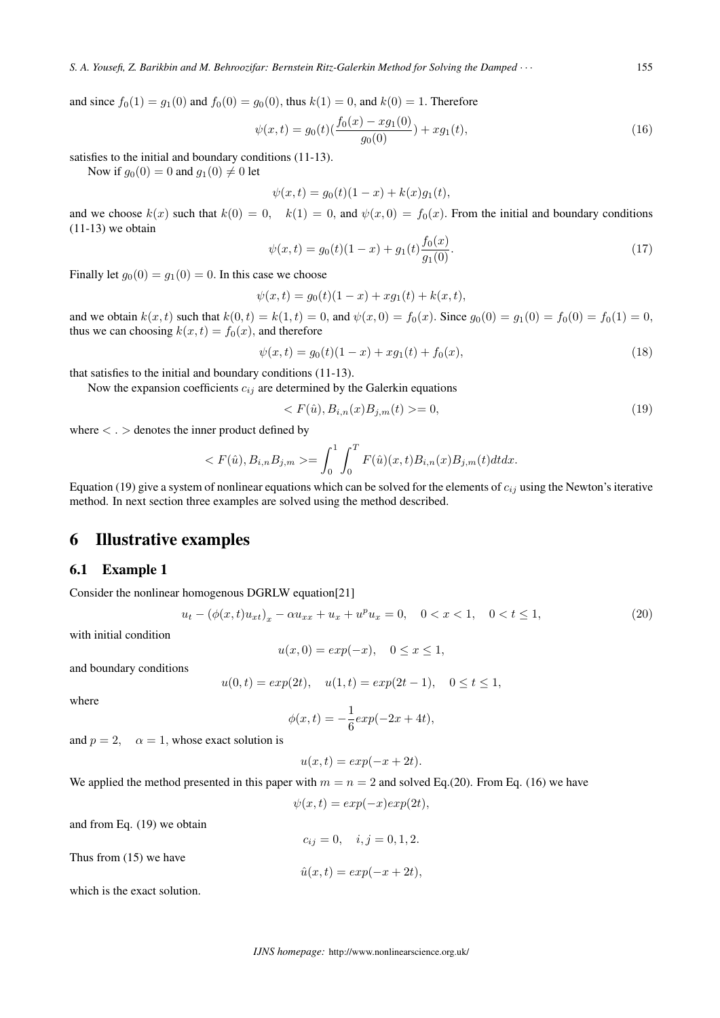and since  $f_0(1) = q_1(0)$  and  $f_0(0) = q_0(0)$ , thus  $k(1) = 0$ , and  $k(0) = 1$ . Therefore

$$
\psi(x,t) = g_0(t)\left(\frac{f_0(x) - xg_1(0)}{g_0(0)}\right) + xg_1(t),\tag{16}
$$

satisfies to the initial and boundary conditions (11-13).

Now if  $g_0(0) = 0$  and  $g_1(0) \neq 0$  let

$$
\psi(x,t) = g_0(t)(1-x) + k(x)g_1(t),
$$

and we choose  $k(x)$  such that  $k(0) = 0$ ,  $k(1) = 0$ , and  $\psi(x, 0) = f_0(x)$ . From the initial and boundary conditions  $(11-13)$  we obtain

$$
\psi(x,t) = g_0(t)(1-x) + g_1(t)\frac{f_0(x)}{g_1(0)}.\tag{17}
$$

Finally let  $g_0(0) = g_1(0) = 0$ . In this case we choose

$$
\psi(x,t) = g_0(t)(1-x) + xg_1(t) + k(x,t)
$$

and we obtain  $k(x, t)$  such that  $k(0, t) = k(1, t) = 0$ , and  $\psi(x, 0) = f_0(x)$ . Since  $g_0(0) = g_1(0) = f_0(0) = f_0(1) = 0$ , thus we can choosing  $k(x, t) = f_0(x)$ , and therefore

$$
\psi(x,t) = g_0(t)(1-x) + xg_1(t) + f_0(x),\tag{18}
$$

that satisfies to the initial and boundary conditions (11-13).

Now the expansion coefficients  $c_{ij}$  are determined by the Galerkin equations

$$
\langle F(\hat{u}), B_{i,n}(x)B_{j,m}(t) \rangle = 0,\tag{19}
$$

where *< . >* denotes the inner product defined by

$$
\langle F(\hat{u}), B_{i,n} B_{j,m} \rangle = \int_0^1 \int_0^T F(\hat{u})(x,t) B_{i,n}(x) B_{j,m}(t) dt dx.
$$

Equation (19) give a system of nonlinear equations which can be solved for the elements of  $c_{ij}$  using the Newton's iterative method. In next section three examples are solved using the method described.

#### 6 Illustrative examples

#### 6.1 Example 1

Consider the nonlinear homogenous DGRLW equation[21]

$$
u_t - (\phi(x, t)u_{xt})_x - \alpha u_{xx} + u_x + u^p u_x = 0, \quad 0 < x < 1, \quad 0 < t \le 1,\tag{20}
$$

with initial condition

$$
u(x,0) = \exp(-x), \quad 0 \le x \le 1,
$$

and boundary conditions

$$
u(0,t) = exp(2t), \quad u(1,t) = exp(2t - 1), \quad 0 \le t \le 1,
$$

where

$$
\phi(x,t) = -\frac{1}{6} \exp(-2x + 4t),
$$

and  $p = 2$ ,  $\alpha = 1$ , whose exact solution is

$$
u(x,t) = exp(-x+2t).
$$

We applied the method presented in this paper with  $m = n = 2$  and solved Eq.(20). From Eq. (16) we have

$$
\psi(x,t) = exp(-x)exp(2t),
$$

and from Eq. (19) we obtain

$$
c_{ij} = 0, \quad i, j = 0, 1, 2.
$$

 $\hat{u}(x, t) = exp(-x + 2t),$ 

Thus from (15) we have

which is the exact solution.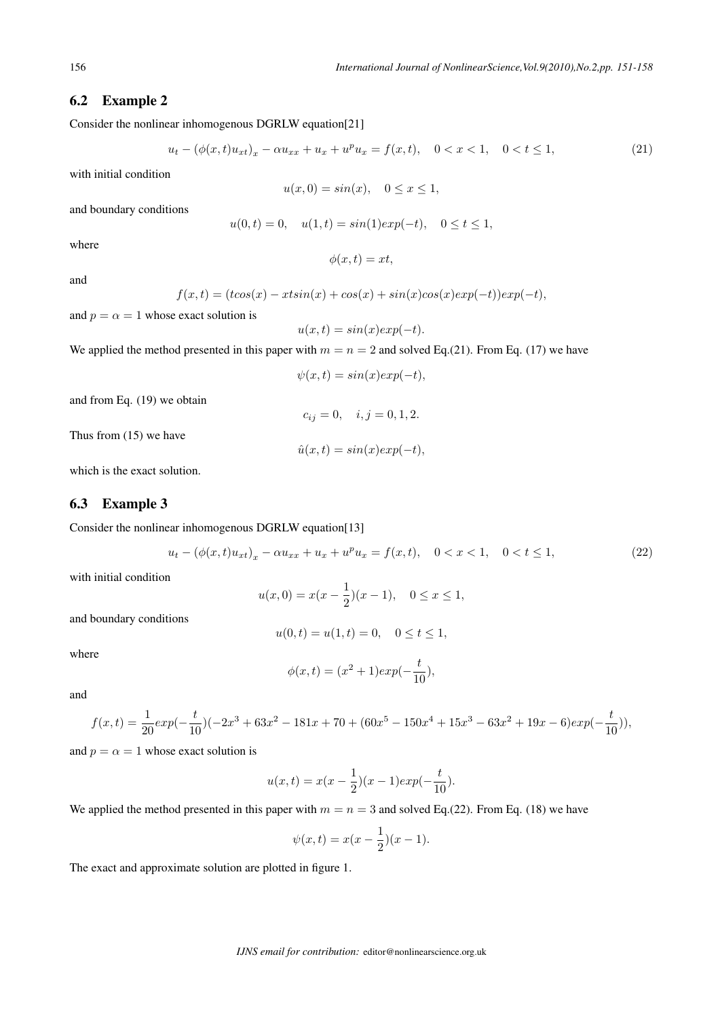#### 6.2 Example 2

Consider the nonlinear inhomogenous DGRLW equation[21]

$$
u_t - (\phi(x, t)u_{xt})_x - \alpha u_{xx} + u_x + u^p u_x = f(x, t), \quad 0 < x < 1, \quad 0 < t \le 1,\tag{21}
$$

with initial condition

 $u(x, 0) = \sin(x), \quad 0 \leq x \leq 1,$ 

and boundary conditions

$$
u(0,t) = 0
$$
,  $u(1,t) = sin(1)exp(-t)$ ,  $0 \le t \le 1$ ,

where

$$
\phi(x,t) = xt,
$$

and

$$
f(x,t) = (t\cos(x) - xtsin(x) + \cos(x) + \sin(x)\cos(x)\exp(-t))\exp(-t),
$$

and  $p = \alpha = 1$  whose exact solution is

$$
u(x,t) = \sin(x)\exp(-t).
$$

We applied the method presented in this paper with  $m = n = 2$  and solved Eq.(21). From Eq. (17) we have

$$
\psi(x,t) = \sin(x)\exp(-t),
$$

 $c_{ij} = 0, \quad i, j = 0, 1, 2.$ 

 $\hat{u}(x,t) = \sin(x)\exp(-t),$ 

and from Eq. (19) we obtain

Thus from (15) we have

which is the exact solution.

#### 6.3 Example 3

Consider the nonlinear inhomogenous DGRLW equation[13]

$$
u_t - (\phi(x, t)u_{xt})_x - \alpha u_{xx} + u_x + u^p u_x = f(x, t), \quad 0 < x < 1, \quad 0 < t \le 1,\tag{22}
$$

with initial condition

$$
u(x,0) = x(x - \frac{1}{2})(x - 1), \quad 0 \le x \le 1,
$$

and boundary conditions

$$
u(0,t) = u(1,t) = 0, \quad 0 \le t \le 1,
$$

where

$$
\phi(x,t) = (x^2 + 1)exp(-\frac{t}{10}),
$$

and

$$
f(x,t) = \frac{1}{20} exp(-\frac{t}{10})(-2x^3 + 63x^2 - 181x + 70 + (60x^5 - 150x^4 + 15x^3 - 63x^2 + 19x - 6)exp(-\frac{t}{10}))
$$

and  $p = \alpha = 1$  whose exact solution is

$$
u(x,t) = x(x - \frac{1}{2})(x - 1)exp(-\frac{t}{10}).
$$

We applied the method presented in this paper with  $m = n = 3$  and solved Eq.(22). From Eq. (18) we have

$$
\psi(x,t) = x(x - \frac{1}{2})(x - 1).
$$

The exact and approximate solution are plotted in figure 1.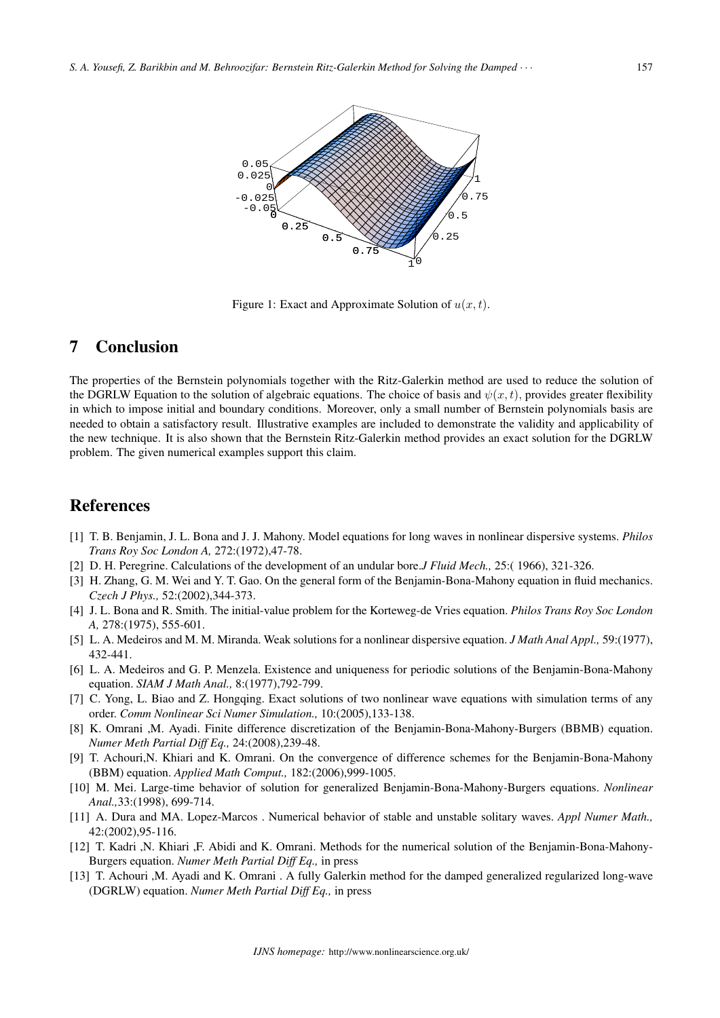

Figure 1: Exact and Approximate Solution of  $u(x, t)$ .

## 7 Conclusion

The properties of the Bernstein polynomials together with the Ritz-Galerkin method are used to reduce the solution of the DGRLW Equation to the solution of algebraic equations. The choice of basis and  $\psi(x, t)$ , provides greater flexibility in which to impose initial and boundary conditions. Moreover, only a small number of Bernstein polynomials basis are needed to obtain a satisfactory result. Illustrative examples are included to demonstrate the validity and applicability of the new technique. It is also shown that the Bernstein Ritz-Galerkin method provides an exact solution for the DGRLW problem. The given numerical examples support this claim.

### References

- [1] T. B. Benjamin, J. L. Bona and J. J. Mahony. Model equations for long waves in nonlinear dispersive systems. *Philos Trans Roy Soc London A,* 272:(1972),47-78.
- [2] D. H. Peregrine. Calculations of the development of an undular bore.*J Fluid Mech.,* 25:( 1966), 321-326.
- [3] H. Zhang, G. M. Wei and Y. T. Gao. On the general form of the Benjamin-Bona-Mahony equation in fluid mechanics. *Czech J Phys.,* 52:(2002),344-373.
- [4] J. L. Bona and R. Smith. The initial-value problem for the Korteweg-de Vries equation. *Philos Trans Roy Soc London A,* 278:(1975), 555-601.
- [5] L. A. Medeiros and M. M. Miranda. Weak solutions for a nonlinear dispersive equation. *J Math Anal Appl.,* 59:(1977), 432-441.
- [6] L. A. Medeiros and G. P. Menzela. Existence and uniqueness for periodic solutions of the Benjamin-Bona-Mahony equation. *SIAM J Math Anal.,* 8:(1977),792-799.
- [7] C. Yong, L. Biao and Z. Hongqing. Exact solutions of two nonlinear wave equations with simulation terms of any order. *Comm Nonlinear Sci Numer Simulation.,* 10:(2005),133-138.
- [8] K. Omrani ,M. Ayadi. Finite difference discretization of the Benjamin-Bona-Mahony-Burgers (BBMB) equation. *Numer Meth Partial Diff Eq.,* 24:(2008),239-48.
- [9] T. Achouri,N. Khiari and K. Omrani. On the convergence of difference schemes for the Benjamin-Bona-Mahony (BBM) equation. *Applied Math Comput.,* 182:(2006),999-1005.
- [10] M. Mei. Large-time behavior of solution for generalized Benjamin-Bona-Mahony-Burgers equations. *Nonlinear Anal.,*33:(1998), 699-714.
- [11] A. Dura and MA. Lopez-Marcos . Numerical behavior of stable and unstable solitary waves. *Appl Numer Math.,* 42:(2002),95-116.
- [12] T. Kadri ,N. Khiari ,F. Abidi and K. Omrani. Methods for the numerical solution of the Benjamin-Bona-Mahony-Burgers equation. *Numer Meth Partial Diff Eq.,* in press
- [13] T. Achouri ,M. Ayadi and K. Omrani . A fully Galerkin method for the damped generalized regularized long-wave (DGRLW) equation. *Numer Meth Partial Diff Eq.,* in press